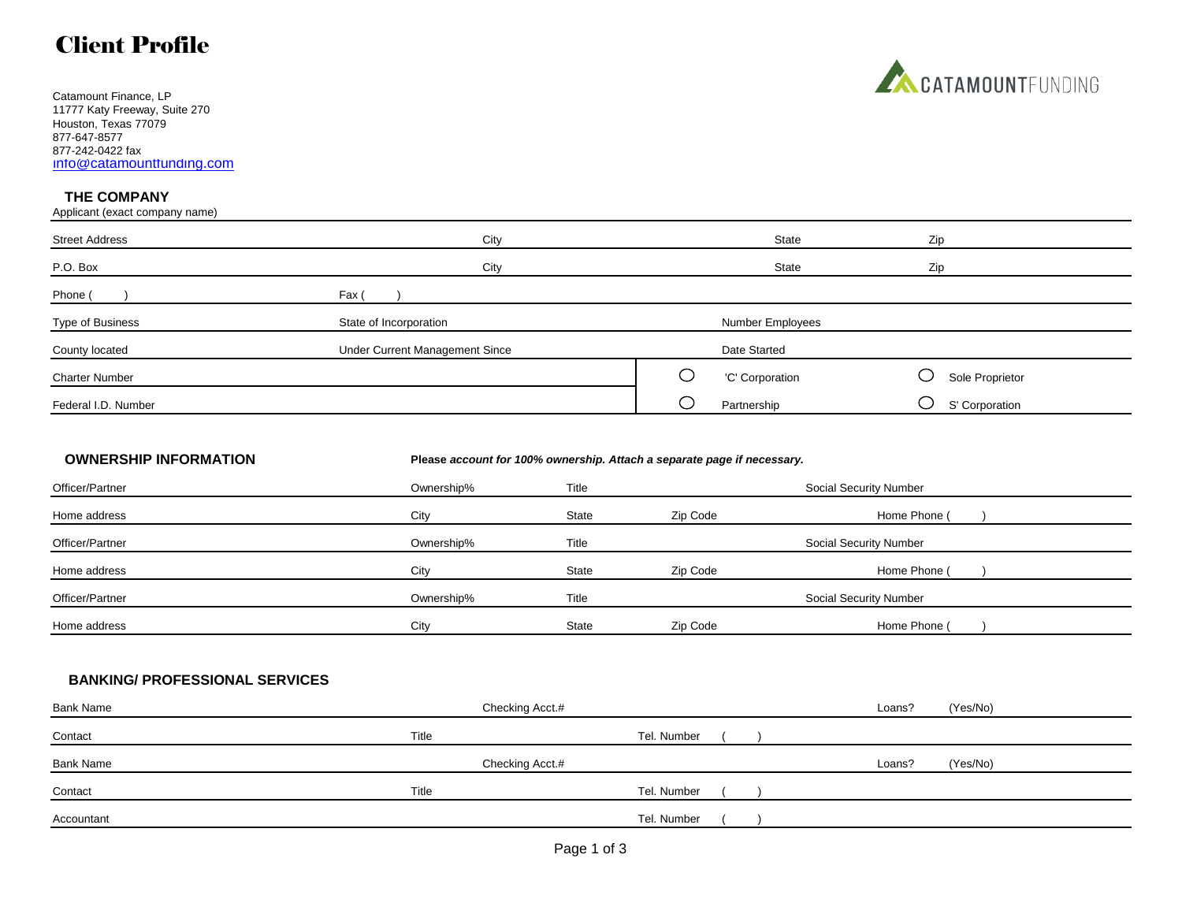## Client Profile

Catamount Finance, LP 11777 Katy Freeway, Suite 270 Houston, Texas 77079 877-647-8577 877-242-0422 fax [info@catamountfunding.com](mailto:info@catamountfunding.com)

### **THE COMPANY**

Applicant (exact company name)

| <b>Street Address</b> | City                           | State            | Zip             |  |  |
|-----------------------|--------------------------------|------------------|-----------------|--|--|
| P.O. Box              | City                           | Zip              |                 |  |  |
| Phone (               | Fax (                          |                  |                 |  |  |
| Type of Business      | State of Incorporation         | Number Employees |                 |  |  |
| County located        | Under Current Management Since | Date Started     |                 |  |  |
| <b>Charter Number</b> |                                | 'C' Corporation  | Sole Proprietor |  |  |
| Federal I.D. Number   |                                | Partnership      | S' Corporation  |  |  |

### **OWNERSHIP INFORMATION Please** *account for 100% ownership. Attach a separate page if necessary.*

| Officer/Partner | Ownership% | Title        |          | Social Security Number |
|-----------------|------------|--------------|----------|------------------------|
| Home address    | City       | State        | Zip Code | Home Phone (           |
| Officer/Partner | Ownership% | Title        |          | Social Security Number |
| Home address    | City       | <b>State</b> | Zip Code | Home Phone (           |
| Officer/Partner | Ownership% | Title        |          | Social Security Number |
| Home address    | City       | <b>State</b> | Zip Code | Home Phone (           |

## **BANKING/ PROFESSIONAL SERVICES**

| <b>Bank Name</b> | Checking Acct.# |             | Loans? | (Yes/No) |
|------------------|-----------------|-------------|--------|----------|
| Contact          | Title           | Tel. Number |        |          |
| Bank Name        | Checking Acct.# |             | Loans? | (Yes/No) |
| Contact          | Title           | Tel. Number |        |          |
| Accountant       |                 | Tel. Number |        |          |

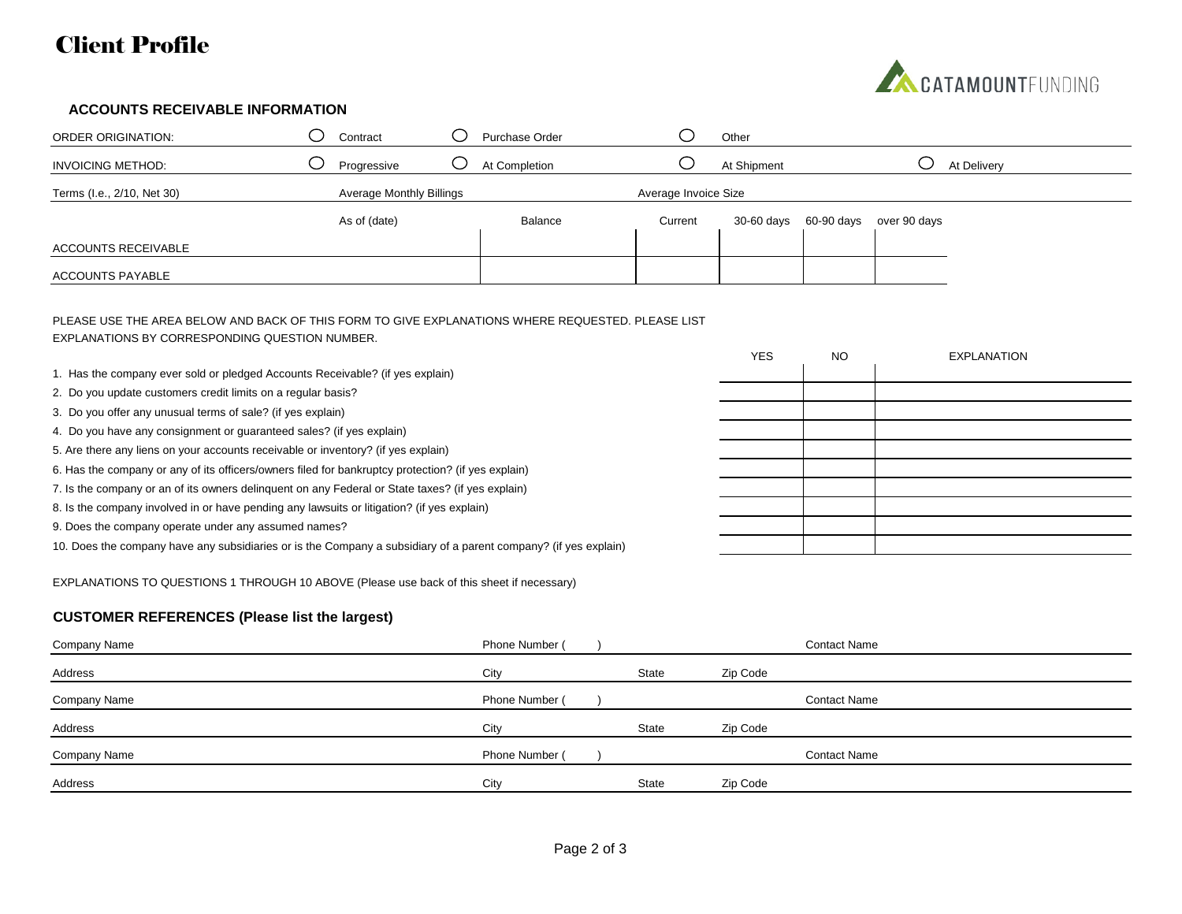# Client Profile



### **ACCOUNTS RECEIVABLE INFORMATION**

| <b>ORDER ORIGINATION:</b>  | Contract                        | Purchase Order |                      | Other       |            |              |             |
|----------------------------|---------------------------------|----------------|----------------------|-------------|------------|--------------|-------------|
| <b>INVOICING METHOD:</b>   | Progressive                     | At Completion  |                      | At Shipment |            |              | At Delivery |
| Terms (I.e., 2/10, Net 30) | <b>Average Monthly Billings</b> |                | Average Invoice Size |             |            |              |             |
|                            | As of (date)                    | Balance        | Current              | 30-60 days  | 60-90 days | over 90 days |             |
| ACCOUNTS RECEIVABLE        |                                 |                |                      |             |            |              |             |
| <b>ACCOUNTS PAYABLE</b>    |                                 |                |                      |             |            |              |             |

PLEASE USE THE AREA BELOW AND BACK OF THIS FORM TO GIVE EXPLANATIONS WHERE REQUESTED. PLEASE LIST EXPLANATIONS BY CORRESPONDING QUESTION NUMBER.

|                                                                                                                 | <b>YES</b> | <b>NO</b> | <b>EXPLANATION</b> |
|-----------------------------------------------------------------------------------------------------------------|------------|-----------|--------------------|
| 1. Has the company ever sold or pledged Accounts Receivable? (if yes explain)                                   |            |           |                    |
| 2. Do you update customers credit limits on a regular basis?                                                    |            |           |                    |
| 3. Do you offer any unusual terms of sale? (if yes explain)                                                     |            |           |                    |
| 4. Do you have any consignment or guaranteed sales? (if yes explain)                                            |            |           |                    |
| 5. Are there any liens on your accounts receivable or inventory? (if yes explain)                               |            |           |                    |
| 6. Has the company or any of its officers/owners filed for bankruptcy protection? (if yes explain)              |            |           |                    |
| 7. Is the company or an of its owners delinguent on any Federal or State taxes? (if yes explain)                |            |           |                    |
| 8. Is the company involved in or have pending any lawsuits or litigation? (if yes explain)                      |            |           |                    |
| 9. Does the company operate under any assumed names?                                                            |            |           |                    |
| 10. Does the company have any subsidiaries or is the Company a subsidiary of a parent company? (if yes explain) |            |           |                    |
|                                                                                                                 |            |           |                    |

EXPLANATIONS TO QUESTIONS 1 THROUGH 10 ABOVE (Please use back of this sheet if necessary)

## **CUSTOMER REFERENCES (Please list the largest)**

| Company Name | Phone Number ( |       |          | <b>Contact Name</b> |
|--------------|----------------|-------|----------|---------------------|
| Address      | City           | State | Zip Code |                     |
| Company Name | Phone Number ( |       |          | <b>Contact Name</b> |
| Address      | City           | State | Zip Code |                     |
| Company Name | Phone Number ( |       |          | <b>Contact Name</b> |
| Address      | City           | State | Zip Code |                     |